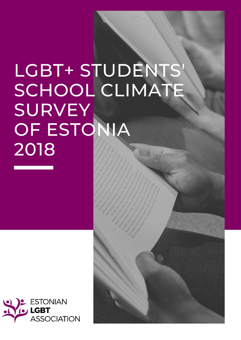# LGBT+ STUDENTS SCHOOL CLIMATE **SURVEY** OF ESTONIA 2018

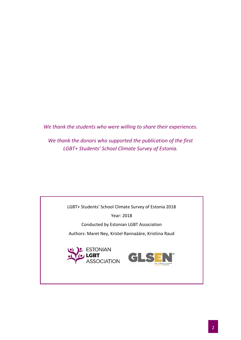*We thank the students who were willing to share their experiences.*

*We thank the donors who supported the publication of the first LGBT+ Students' School Climate Survey of Estonia.*

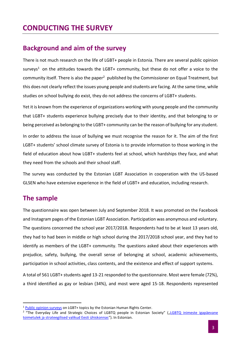# **CONDUCTING THE SURVEY**

### **Background and aim of the survey**

There is not much research on the life of LGBT+ people in Estonia. There are several public opinion surveys<sup>1</sup> on the attitudes towards the LGBT+ community, but these do not offer a voice to the community itself. There is also the paper<sup>2</sup> published by the Commissioner on Equal Treatment, but this does not clearly reflect the issues young people and students are facing. At the same time, while studies on school bullying do exist, they do not address the concerns of LGBT+ students.

Yet it is known from the experience of organizations working with young people and the community that LGBT+ students experience bullying precisely due to their identity, and that belonging to or being perceived as belonging to the LGBT+ community can be the reason of bullying for any student.

In order to address the issue of bullying we must recognise the reason for it. The aim of the first LGBT+ students' school climate survey of Estonia is to provide information to those working in the field of education about how LGBT+ students feel at school, which hardships they face, and what they need from the schools and their school staff.

The survey was conducted by the Estonian LGBT Association in cooperation with the US-based GLSEN who have extensive experience in the field of LGBT+ and education, including research.

## **The sample**

The questionnaire was open between July and September 2018. It was promoted on the Facebook and Instagram pages of the Estonian LGBT Association. Participation was anonymous and voluntary. The questions concerned the school year 2017/2018. Respondents had to be at least 13 years old, they had to had been in middle or high school during the 2017/2018 school year, and they had to identify as members of the LGBT+ community. The questions asked about their experiences with prejudice, safety, bullying, the overall sense of belonging at school, academic achievements, participation in school activities, class contents, and the existence and effect of support systems.

A total of 561 LGBT+ students aged 13-21 responded to the questionnaire. Most were female (72%), a third identified as gay or lesbian (34%), and most were aged 15-18. Respondents represented

<sup>&</sup>lt;sup>1</sup> [Public opinion surveys](https://humanrights.ee/en/topics-main/vordne-kohtlemine/attitudes-towards-lgbt-topics-estonia/) on LGBT+ topics by the Estonian Human Rights Center.

<sup>&</sup>lt;sup>2</sup> "The Everyday Life and Strategic Choices of LGBTQ people in Estonian Society" ("LGBTQ inimeste igapäevane [toimetulek ja strateegilised valikud Eesti ühiskonnas](https://enut.ee/files/LGBT_uuringuraport_2016.pdf)"). In Estonian.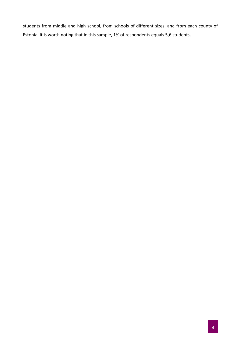students from middle and high school, from schools of different sizes, and from each county of Estonia. It is worth noting that in this sample, 1% of respondents equals 5,6 students.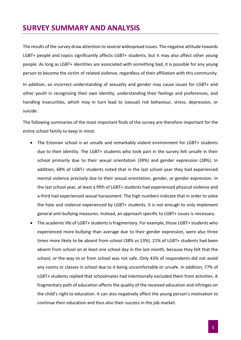# **SURVEY SUMMARY AND ANALYSIS**

The results of the survey draw attention to several widespread issues. The negative attitude towards LGBT+ people and topics significantly affects LGBT+ students, but it may also affect other young people. As long as LGBT+ identities are associated with something bad, it is possible for any young person to become the victim of related violence, regardless of their affiliation with this community. In addition, an incorrect understanding of sexuality and gender may cause issues for LGBT+ and other youth in recognizing their own identity, understanding their feelings and preferences, and handling insecurities, which may in turn lead to (sexual) risk behaviour, stress, depression, or suicide.

The following summaries of the most important finds of the survey are therefore important for the entire school family to keep in mind.

- The Estonian school is an unsafe and remarkably violent environment for LGBT+ students due to their identity. The LGBT+ students who took part in the survey felt unsafe in their school primarily due to their sexual orientation (39%) and gender expression (28%). In addition, 68% of LGBT+ students noted that in the last school year they had experienced mental violence precisely due to their sexual orientation, gender, or gender expression. In the last school year, at least a fifth of LGBT+ students had experienced physical violence and a third had experienced sexual harassment. The high numbers indicate that in order to solve the hate and violence experienced by LGBT+ students, it is not enough to only implement general anti-bullying measures. Instead, an approach specific to LGBT+ issues is necessary.
- The academic life of LGBT+ students is fragmentary. For example, those LGBT+ students who experienced more bullying than average due to their gender expression, were also three times more likely to be absent from school (38% vs 13%). 21% of LGBT+ students had been absent from school on at least one school day in the last month, because they felt that the school, or the way to or from school was not safe. Only 43% of respondents did not avoid any rooms or classes in school due to it being uncomfortable or unsafe. In addition, 77% of LGBT+ students replied that schoolmates had intentionally excluded them from activities. A fragmentary path of education affects the quality of the received education and infringes on the child's right to education. It can also negatively affect the young person's motivation to continue their education and thus also their success in the job market.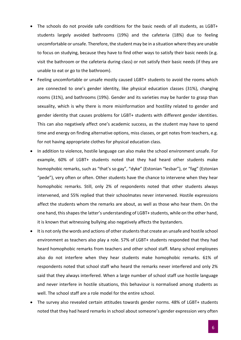- The schools do not provide safe conditions for the basic needs of all students, as LGBT+ students largely avoided bathrooms (19%) and the cafeteria (18%) due to feeling uncomfortable or unsafe. Therefore, the student may be in a situation where they are unable to focus on studying, because they have to find other ways to satisfy their basic needs (e.g. visit the bathroom or the cafeteria during class) or not satisfy their basic needs (if they are unable to eat or go to the bathroom).
- Feeling uncomfortable or unsafe mostly caused LGBT+ students to avoid the rooms which are connected to one's gender identity, like physical education classes (31%), changing rooms (31%), and bathrooms (19%). Gender and its varieties may be harder to grasp than sexuality, which is why there is more misinformation and hostility related to gender and gender identity that causes problems for LGBT+ students with different gender identities. This can also negatively affect one's academic success, as the student may have to spend time and energy on finding alternative options, miss classes, or get notes from teachers, e.g. for not having appropriate clothes for physical education class.
- In addition to violence, hostile language can also make the school environment unsafe. For example, 60% of LGBT+ students noted that they had heard other students make homophobic remarks, such as "that's so gay", "dyke" (Estonian "lesbar"), or "fag" (Estonian "pede"), very often or often. Other students have the chance to intervene when they hear homophobic remarks. Still, only 2% of respondents noted that other students always intervened, and 55% replied that their schoolmates never intervened. Hostile expressions affect the students whom the remarks are about, as well as those who hear them. On the one hand, this shapes the latter's understanding of LGBT+ students, while on the other hand, it is known that witnessing bullying also negatively affects the bystanders.
- It is not only the words and actions of other students that create an unsafe and hostile school environment as teachers also play a role. 57% of LGBT+ students responded that they had heard homophobic remarks from teachers and other school staff. Many school employees also do not interfere when they hear students make homophobic remarks. 61% of respondents noted that school staff who heard the remarks never interfered and only 2% said that they always interfered. When a large number of school staff use hostile language and never interfere in hostile situations, this behaviour is normalised among students as well. The school staff are a role model for the entire school.
- The survey also revealed certain attitudes towards gender norms. 48% of LGBT+ students noted that they had heard remarks in school about someone's gender expression very often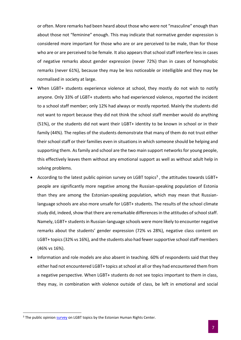or often. More remarks had been heard about those who were not "masculine" enough than about those not "feminine" enough. This may indicate that normative gender expression is considered more important for those who are or are perceived to be male, than for those who are or are perceived to be female. It also appears that school staff interfere less in cases of negative remarks about gender expression (never 72%) than in cases of homophobic remarks (never 61%), because they may be less noticeable or intelligible and they may be normalised in society at large.

- When LGBT+ students experience violence at school, they mostly do not wish to notify anyone. Only 33% of LGBT+ students who had experienced violence, reported the incident to a school staff member; only 12% had always or mostly reported. Mainly the students did not want to report because they did not think the school staff member would do anything (51%), or the students did not want their LGBT+ identity to be known in school or in their family (44%). The replies of the students demonstrate that many of them do not trust either their school staff or their families even in situations in which someone should be helping and supporting them. As family and school are the two main support networks for young people, this effectively leaves them without any emotional support as well as without adult help in solving problems.
- According to the latest public opinion survey on LGBT topics<sup>3</sup>, the attitudes towards LGBT+ people are significantly more negative among the Russian-speaking population of Estonia than they are among the Estonian-speaking population, which may mean that Russianlanguage schools are also more unsafe for LGBT+ students. The results of the school climate study did, indeed, show that there are remarkable differences in the attitudes of school staff. Namely, LGBT+ students in Russian-language schools were more likely to encounter negative remarks about the students' gender expression (72% vs 28%), negative class content on LGBT+ topics (32% vs 16%), and the students also had fewer supportive school staff members (46% vs 16%).
- Information and role models are also absent in teaching. 60% of respondents said that they either had not encountered LGBT+ topics at school at all or they had encountered them from a negative perspective. When LGBT+ students do not see topics important to them in class, they may, in combination with violence outside of class, be left in emotional and social

<sup>&</sup>lt;sup>3</sup> The public opinion **survey** on LGBT topics by the Estonian Human Rights Center.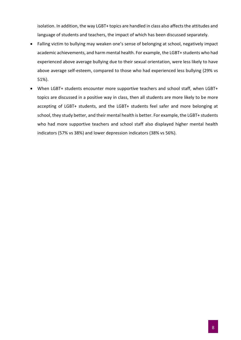isolation. In addition, the way LGBT+ topics are handled in class also affects the attitudes and language of students and teachers, the impact of which has been discussed separately.

- Falling victim to bullying may weaken one's sense of belonging at school, negatively impact academic achievements, and harm mental health. For example, the LGBT+ students who had experienced above average bullying due to their sexual orientation, were less likely to have above average self-esteem, compared to those who had experienced less bullying (29% vs 51%).
- When LGBT+ students encounter more supportive teachers and school staff, when LGBT+ topics are discussed in a positive way in class, then all students are more likely to be more accepting of LGBT+ students, and the LGBT+ students feel safer and more belonging at school, they study better, and their mental health is better. For example, the LGBT+ students who had more supportive teachers and school staff also displayed higher mental health indicators (57% vs 38%) and lower depression indicators (38% vs 56%).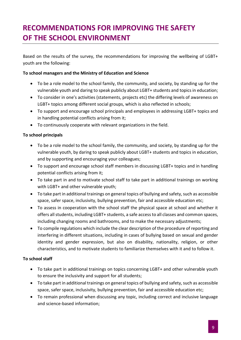# **RECOMMENDATIONS FOR IMPROVING THE SAFETY OF THE SCHOOL ENVIRONMENT**

Based on the results of the survey, the recommendations for improving the wellbeing of LGBT+ youth are the following:

#### **To school managers and the Ministry of Education and Science**

- To be a role model to the school family, the community, and society, by standing up for the vulnerable youth and daring to speak publicly about LGBT+ students and topics in education;
- To consider in one's activities (statements, projects etc) the differing levels of awareness on LGBT+ topics among different social groups, which is also reflected in schools;
- To support and encourage school principals and employees in addressing LGBT+ topics and in handling potential conflicts arising from it;
- To continuously cooperate with relevant organizations in the field.

#### **To school principals**

- To be a role model to the school family, the community, and society, by standing up for the vulnerable youth, by daring to speak publicly about LGBT+ students and topics in education, and by supporting and encouraging your colleagues;
- To support and encourage school staff members in discussing LGBT+ topics and in handling potential conflicts arising from it;
- To take part in and to motivate school staff to take part in additional trainings on working with LGBT+ and other vulnerable youth;
- To take part in additional trainings on general topics of bullying and safety, such as accessible space, safer space, inclusivity, bullying prevention, fair and accessible education etc;
- To assess in cooperation with the school staff the physical space at school and whether it offers all students, including LGBT+ students, a safe access to all classes and common spaces, including changing rooms and bathrooms, and to make the necessary adjustments;
- To compile regulations which include the clear description of the procedure of reporting and interfering in different situations, including in cases of bullying based on sexual and gender identity and gender expression, but also on disability, nationality, religion, or other characteristics, and to motivate students to familiarize themselves with it and to follow it.

#### **To school staff**

- To take part in additional trainings on topics concerning LGBT+ and other vulnerable youth to ensure the inclusivity and support for all students;
- To take part in additional trainings on general topics of bullying and safety, such as accessible space, safer space, inclusivity, bullying prevention, fair and accessible education etc;
- To remain professional when discussing any topic, including correct and inclusive language and science-based information;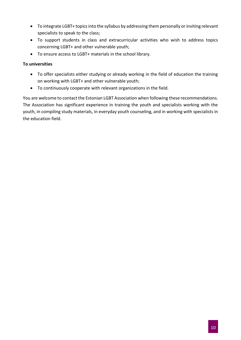- To integrate LGBT+ topics into the syllabus by addressing them personally or inviting relevant specialists to speak to the class;
- To support students in class and extracurricular activities who wish to address topics concerning LGBT+ and other vulnerable youth;
- To ensure access to LGBT+ materials in the school library.

#### **To universities**

- To offer specialists either studying or already working in the field of education the training on working with LGBT+ and other vulnerable youth;
- To continuously cooperate with relevant organizations in the field.

You are welcome to contact the Estonian LGBT Association when following these recommendations. The Association has significant experience in training the youth and specialists working with the youth, in compiling study materials, in everyday youth counseling, and in working with specialists in the education field.